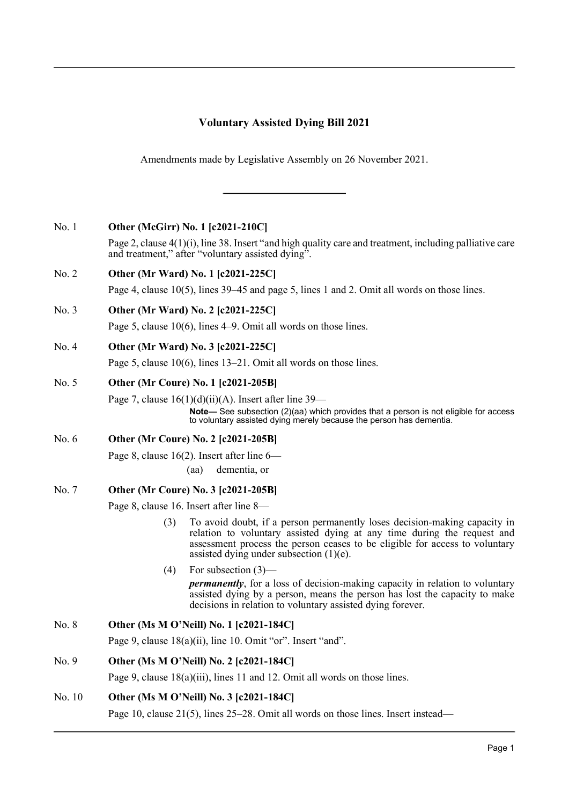# **Voluntary Assisted Dying Bill 2021**

Amendments made by Legislative Assembly on 26 November 2021.

# No. 1 **Other (McGirr) No. 1 [c2021-210C]**

Page 2, clause 4(1)(i), line 38. Insert "and high quality care and treatment, including palliative care and treatment," after "voluntary assisted dying".

# No. 2 **Other (Mr Ward) No. 1 [c2021-225C]**

Page 4, clause 10(5), lines 39–45 and page 5, lines 1 and 2. Omit all words on those lines.

# No. 3 **Other (Mr Ward) No. 2 [c2021-225C]**

Page 5, clause 10(6), lines 4–9. Omit all words on those lines.

# No. 4 **Other (Mr Ward) No. 3 [c2021-225C]**

Page 5, clause 10(6), lines 13–21. Omit all words on those lines.

## No. 5 **Other (Mr Coure) No. 1 [c2021-205B]**

Page 7, clause  $16(1)(d)(ii)(A)$ . Insert after line 39–

**Note—** See subsection (2)(aa) which provides that a person is not eligible for access to voluntary assisted dying merely because the person has dementia.

# No. 6 **Other (Mr Coure) No. 2 [c2021-205B]**

Page 8, clause 16(2). Insert after line 6—

(aa) dementia, or

# No. 7 **Other (Mr Coure) No. 3 [c2021-205B]**

Page 8, clause 16. Insert after line 8—

- (3) To avoid doubt, if a person permanently loses decision-making capacity in relation to voluntary assisted dying at any time during the request and assessment process the person ceases to be eligible for access to voluntary assisted dying under subsection (1)(e).
- (4) For subsection (3)—

*permanently*, for a loss of decision-making capacity in relation to voluntary assisted dying by a person, means the person has lost the capacity to make decisions in relation to voluntary assisted dying forever.

# No. 8 **Other (Ms M O'Neill) No. 1 [c2021-184C]**

Page 9, clause 18(a)(ii), line 10. Omit "or". Insert "and".

# No. 9 **Other (Ms M O'Neill) No. 2 [c2021-184C]**

Page 9, clause 18(a)(iii), lines 11 and 12. Omit all words on those lines.

# No. 10 **Other (Ms M O'Neill) No. 3 [c2021-184C]**

Page 10, clause 21(5), lines 25–28. Omit all words on those lines. Insert instead—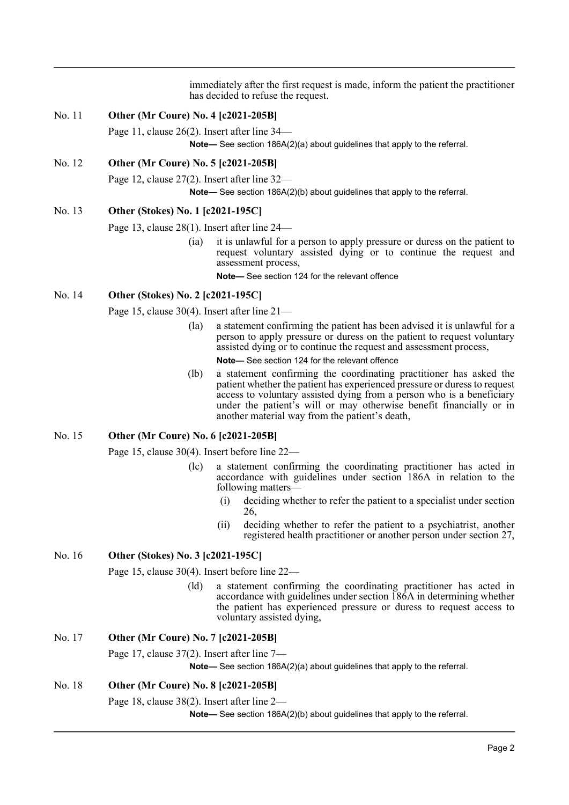immediately after the first request is made, inform the patient the practitioner has decided to refuse the request.

#### No. 11 **Other (Mr Coure) No. 4 [c2021-205B]**

Page 11, clause 26(2). Insert after line 34—

**Note—** See section 186A(2)(a) about guidelines that apply to the referral.

## No. 12 **Other (Mr Coure) No. 5 [c2021-205B]**

Page 12, clause 27(2). Insert after line 32—

**Note—** See section 186A(2)(b) about guidelines that apply to the referral.

#### No. 13 **Other (Stokes) No. 1 [c2021-195C]**

Page 13, clause 28(1). Insert after line 24—

(ia) it is unlawful for a person to apply pressure or duress on the patient to request voluntary assisted dying or to continue the request and assessment process,

**Note—** See section 124 for the relevant offence

#### No. 14 **Other (Stokes) No. 2 [c2021-195C]**

Page 15, clause 30(4). Insert after line 21—

(la) a statement confirming the patient has been advised it is unlawful for a person to apply pressure or duress on the patient to request voluntary assisted dying or to continue the request and assessment process,

**Note—** See section 124 for the relevant offence

(lb) a statement confirming the coordinating practitioner has asked the patient whether the patient has experienced pressure or duress to request access to voluntary assisted dying from a person who is a beneficiary under the patient's will or may otherwise benefit financially or in another material way from the patient's death,

#### No. 15 **Other (Mr Coure) No. 6 [c2021-205B]**

Page 15, clause 30(4). Insert before line 22—

- (lc) a statement confirming the coordinating practitioner has acted in accordance with guidelines under section 186A in relation to the following matters—
	- (i) deciding whether to refer the patient to a specialist under section 26,
	- (ii) deciding whether to refer the patient to a psychiatrist, another registered health practitioner or another person under section 27,

#### No. 16 **Other (Stokes) No. 3 [c2021-195C]**

Page 15, clause 30(4). Insert before line 22—

(ld) a statement confirming the coordinating practitioner has acted in accordance with guidelines under section 186A in determining whether the patient has experienced pressure or duress to request access to voluntary assisted dying,

## No. 17 **Other (Mr Coure) No. 7 [c2021-205B]**

Page 17, clause 37(2). Insert after line 7—

**Note—** See section 186A(2)(a) about guidelines that apply to the referral.

#### No. 18 **Other (Mr Coure) No. 8 [c2021-205B]**

Page 18, clause 38(2). Insert after line 2—

**Note—** See section 186A(2)(b) about guidelines that apply to the referral.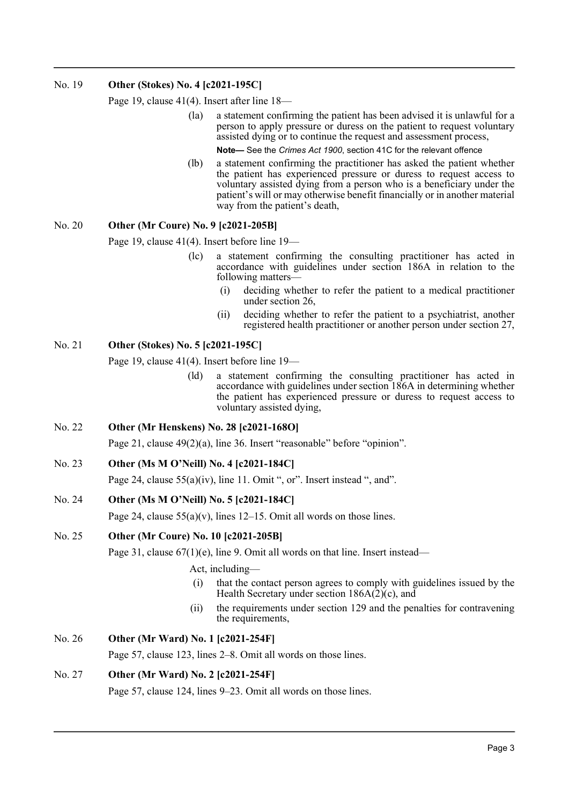# No. 19 **Other (Stokes) No. 4 [c2021-195C]**

Page 19, clause 41(4). Insert after line 18—

- (la) a statement confirming the patient has been advised it is unlawful for a person to apply pressure or duress on the patient to request voluntary assisted dying or to continue the request and assessment process,
	- **Note—** See the *Crimes Act 1900*, section 41C for the relevant offence
- (lb) a statement confirming the practitioner has asked the patient whether the patient has experienced pressure or duress to request access to voluntary assisted dying from a person who is a beneficiary under the patient's will or may otherwise benefit financially or in another material way from the patient's death,

## No. 20 **Other (Mr Coure) No. 9 [c2021-205B]**

Page 19, clause 41(4). Insert before line 19—

- (lc) a statement confirming the consulting practitioner has acted in accordance with guidelines under section 186A in relation to the following matters—
	- (i) deciding whether to refer the patient to a medical practitioner under section 26,
	- (ii) deciding whether to refer the patient to a psychiatrist, another registered health practitioner or another person under section 27,

## No. 21 **Other (Stokes) No. 5 [c2021-195C]**

Page 19, clause 41(4). Insert before line 19—

(ld) a statement confirming the consulting practitioner has acted in accordance with guidelines under section 186A in determining whether the patient has experienced pressure or duress to request access to voluntary assisted dying,

## No. 22 **Other (Mr Henskens) No. 28 [c2021-168O]**

Page 21, clause 49(2)(a), line 36. Insert "reasonable" before "opinion".

## No. 23 **Other (Ms M O'Neill) No. 4 [c2021-184C]**

Page 24, clause 55(a)(iv), line 11. Omit ", or". Insert instead ", and".

#### No. 24 **Other (Ms M O'Neill) No. 5 [c2021-184C]**

Page 24, clause  $55(a)(v)$ , lines 12–15. Omit all words on those lines.

#### No. 25 **Other (Mr Coure) No. 10 [c2021-205B]**

Page 31, clause 67(1)(e), line 9. Omit all words on that line. Insert instead—

#### Act, including—

- (i) that the contact person agrees to comply with guidelines issued by the Health Secretary under section 186A(2)(c), and
- (ii) the requirements under section 129 and the penalties for contravening the requirements,

# No. 26 **Other (Mr Ward) No. 1 [c2021-254F]**

Page 57, clause 123, lines 2–8. Omit all words on those lines.

## No. 27 **Other (Mr Ward) No. 2 [c2021-254F]**

Page 57, clause 124, lines 9–23. Omit all words on those lines.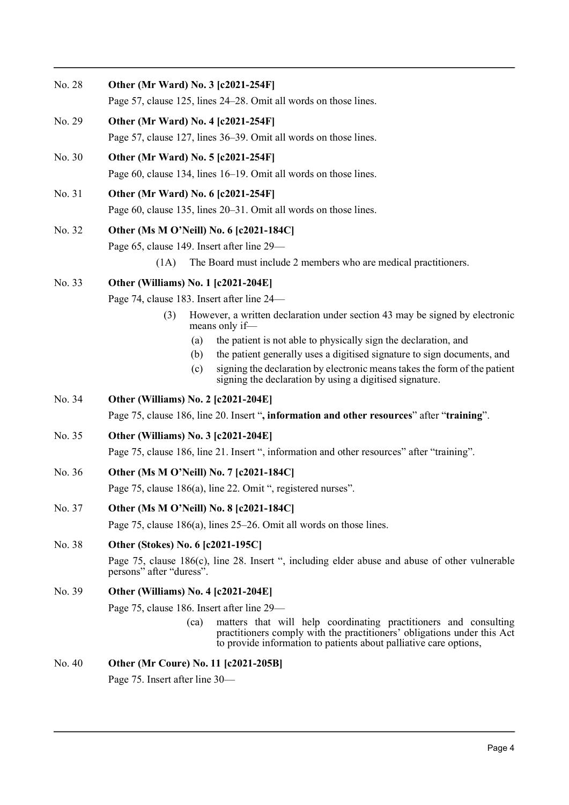| No. 28 | Other (Mr Ward) No. 3 [c2021-254F]                                                                                                                                                                                       |
|--------|--------------------------------------------------------------------------------------------------------------------------------------------------------------------------------------------------------------------------|
|        | Page 57, clause 125, lines 24–28. Omit all words on those lines.                                                                                                                                                         |
| No. 29 | Other (Mr Ward) No. 4 [c2021-254F]                                                                                                                                                                                       |
|        | Page 57, clause 127, lines 36–39. Omit all words on those lines.                                                                                                                                                         |
| No. 30 | Other (Mr Ward) No. 5 [c2021-254F]                                                                                                                                                                                       |
|        | Page 60, clause 134, lines 16–19. Omit all words on those lines.                                                                                                                                                         |
| No. 31 | Other (Mr Ward) No. 6 [c2021-254F]                                                                                                                                                                                       |
|        | Page 60, clause 135, lines 20–31. Omit all words on those lines.                                                                                                                                                         |
| No. 32 | Other (Ms M O'Neill) No. 6 [c2021-184C]                                                                                                                                                                                  |
|        | Page 65, clause 149. Insert after line 29—                                                                                                                                                                               |
|        | The Board must include 2 members who are medical practitioners.<br>(1A)                                                                                                                                                  |
| No. 33 | Other (Williams) No. 1 [c2021-204E]                                                                                                                                                                                      |
|        | Page 74, clause 183. Insert after line 24—                                                                                                                                                                               |
|        | However, a written declaration under section 43 may be signed by electronic<br>(3)<br>means only if-                                                                                                                     |
|        | the patient is not able to physically sign the declaration, and<br>(a)                                                                                                                                                   |
|        | the patient generally uses a digitised signature to sign documents, and<br>(b)                                                                                                                                           |
|        | signing the declaration by electronic means takes the form of the patient<br>(c)<br>signing the declaration by using a digitised signature.                                                                              |
| No. 34 | Other (Williams) No. 2 [c2021-204E]                                                                                                                                                                                      |
|        | Page 75, clause 186, line 20. Insert ", information and other resources" after "training".                                                                                                                               |
| No. 35 | Other (Williams) No. 3 [c2021-204E]                                                                                                                                                                                      |
|        | Page 75, clause 186, line 21. Insert ", information and other resources" after "training".                                                                                                                               |
| No. 36 | Other (Ms M O'Neill) No. 7 [c2021-184C]                                                                                                                                                                                  |
|        | Page 75, clause 186(a), line 22. Omit ", registered nurses".                                                                                                                                                             |
| No. 37 | Other (Ms M O'Neill) No. 8 [c2021-184C]                                                                                                                                                                                  |
|        | Page 75, clause 186(a), lines $25-26$ . Omit all words on those lines.                                                                                                                                                   |
| No. 38 | Other (Stokes) No. 6 [c2021-195C]                                                                                                                                                                                        |
|        | Page 75, clause 186(c), line 28. Insert ", including elder abuse and abuse of other vulnerable<br>persons" after "duress".                                                                                               |
| No. 39 | Other (Williams) No. 4 [c2021-204E]                                                                                                                                                                                      |
|        | Page 75, clause 186. Insert after line 29—                                                                                                                                                                               |
|        | matters that will help coordinating practitioners and consulting<br>(ca)<br>practitioners comply with the practitioners' obligations under this Act<br>to provide information to patients about palliative care options, |
| No. 40 | Other (Mr Coure) No. 11 [c2021-205B]                                                                                                                                                                                     |
|        | Page 75. Insert after line 30—                                                                                                                                                                                           |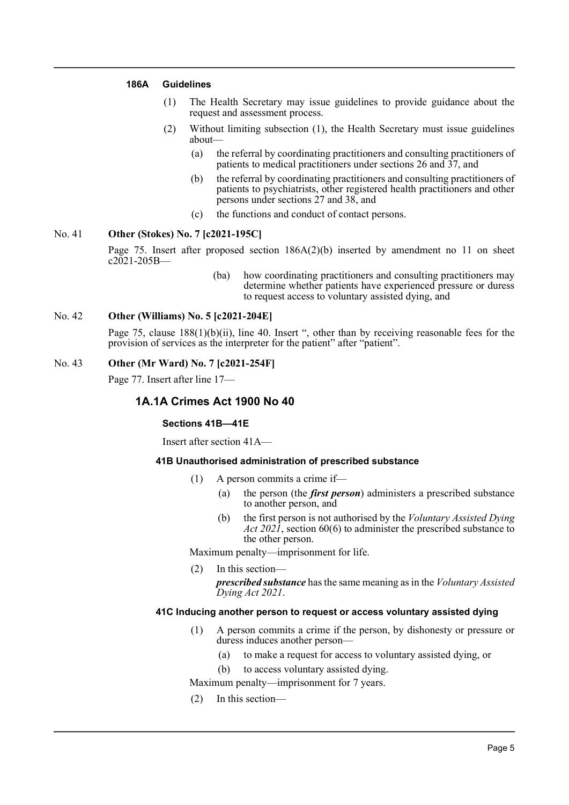#### **186A Guidelines**

- (1) The Health Secretary may issue guidelines to provide guidance about the request and assessment process.
- (2) Without limiting subsection (1), the Health Secretary must issue guidelines about—
	- (a) the referral by coordinating practitioners and consulting practitioners of patients to medical practitioners under sections 26 and 37, and
	- (b) the referral by coordinating practitioners and consulting practitioners of patients to psychiatrists, other registered health practitioners and other persons under sections 27 and 38, and
	- (c) the functions and conduct of contact persons.

#### No. 41 **Other (Stokes) No. 7 [c2021-195C]**

Page 75. Insert after proposed section  $186A(2)(b)$  inserted by amendment no 11 on sheet  $c2021 - 205B$ 

> (ba) how coordinating practitioners and consulting practitioners may determine whether patients have experienced pressure or duress to request access to voluntary assisted dying, and

#### No. 42 **Other (Williams) No. 5 [c2021-204E]**

Page 75, clause 188(1)(b)(ii), line 40. Insert ", other than by receiving reasonable fees for the provision of services as the interpreter for the patient" after "patient".

## No. 43 **Other (Mr Ward) No. 7 [c2021-254F]**

Page 77. Insert after line 17—

# **1A.1A Crimes Act 1900 No 40**

#### **Sections 41B—41E**

Insert after section 41A—

#### **41B Unauthorised administration of prescribed substance**

- (1) A person commits a crime if—
	- (a) the person (the *first person*) administers a prescribed substance to another person, and
	- (b) the first person is not authorised by the *Voluntary Assisted Dying Act 2021*, section 60(6) to administer the prescribed substance to the other person.

Maximum penalty—imprisonment for life.

(2) In this section *prescribed substance* has the same meaning as in the *Voluntary Assisted Dying Act 2021*.

#### **41C Inducing another person to request or access voluntary assisted dying**

- (1) A person commits a crime if the person, by dishonesty or pressure or duress induces another person—
	- (a) to make a request for access to voluntary assisted dying, or
	- (b) to access voluntary assisted dying.

Maximum penalty—imprisonment for 7 years.

(2) In this section—